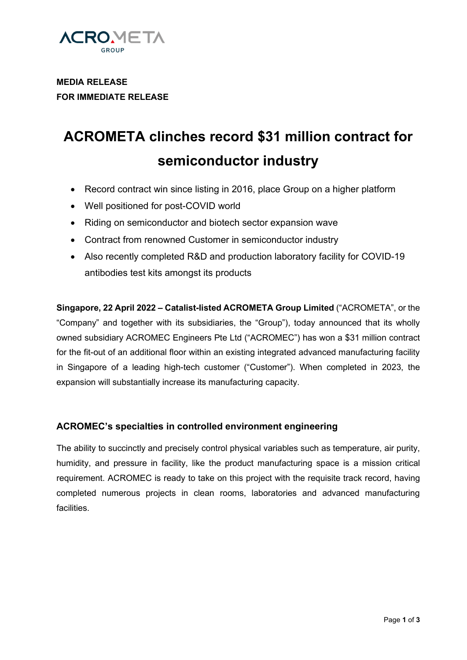

**MEDIA RELEASE FOR IMMEDIATE RELEASE** 

# **ACROMETA clinches record \$31 million contract for semiconductor industry**

- Record contract win since listing in 2016, place Group on a higher platform
- Well positioned for post-COVID world
- Riding on semiconductor and biotech sector expansion wave
- Contract from renowned Customer in semiconductor industry
- Also recently completed R&D and production laboratory facility for COVID-19 antibodies test kits amongst its products

**Singapore, 22 April 2022 – Catalist-listed ACROMETA Group Limited** ("ACROMETA", or the "Company" and together with its subsidiaries, the "Group"), today announced that its wholly owned subsidiary ACROMEC Engineers Pte Ltd ("ACROMEC") has won a \$31 million contract for the fit-out of an additional floor within an existing integrated advanced manufacturing facility in Singapore of a leading high-tech customer ("Customer"). When completed in 2023, the expansion will substantially increase its manufacturing capacity.

### **ACROMEC's specialties in controlled environment engineering**

The ability to succinctly and precisely control physical variables such as temperature, air purity, humidity, and pressure in facility, like the product manufacturing space is a mission critical requirement. ACROMEC is ready to take on this project with the requisite track record, having completed numerous projects in clean rooms, laboratories and advanced manufacturing facilities.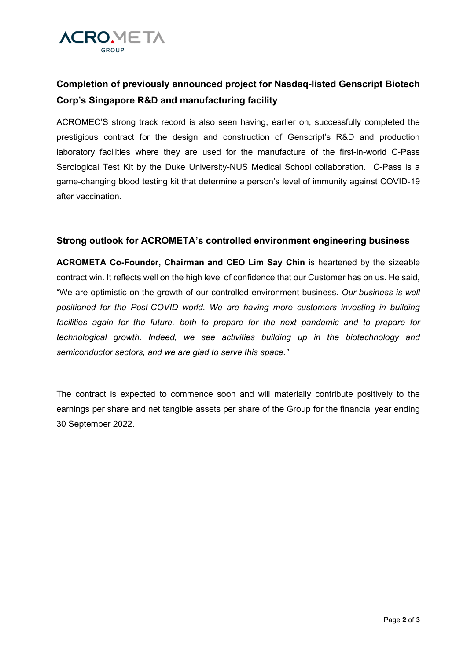

## **Completion of previously announced project for Nasdaq-listed Genscript Biotech Corp's Singapore R&D and manufacturing facility**

ACROMEC'S strong track record is also seen having, earlier on, successfully completed the prestigious contract for the design and construction of Genscript's R&D and production laboratory facilities where they are used for the manufacture of the first-in-world C-Pass Serological Test Kit by the Duke University-NUS Medical School collaboration. C-Pass is a game-changing blood testing kit that determine a person's level of immunity against COVID-19 after vaccination.

### **Strong outlook for ACROMETA's controlled environment engineering business**

**ACROMETA Co-Founder, Chairman and CEO Lim Say Chin** is heartened by the sizeable contract win. It reflects well on the high level of confidence that our Customer has on us. He said, "We are optimistic on the growth of our controlled environment business. *Our business is well positioned for the Post-COVID world. We are having more customers investing in building*  facilities again for the future, both to prepare for the next pandemic and to prepare for *technological growth. Indeed, we see activities building up in the biotechnology and semiconductor sectors, and we are glad to serve this space."*

The contract is expected to commence soon and will materially contribute positively to the earnings per share and net tangible assets per share of the Group for the financial year ending 30 September 2022.